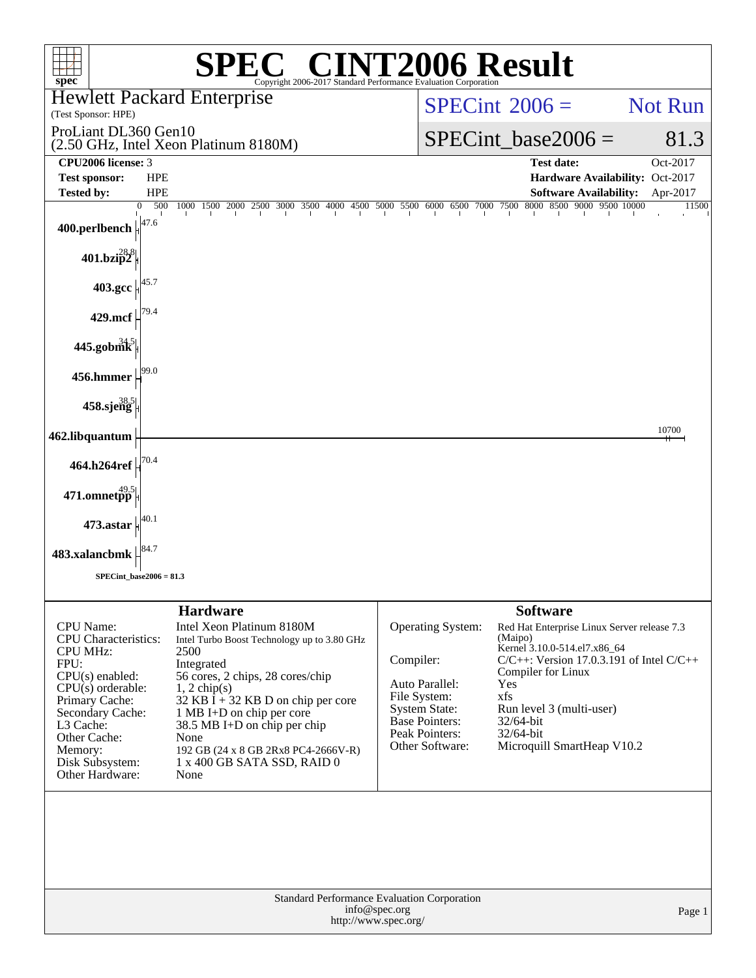| $spec^*$                                                                                                                                                                                                                                   | SPE<br>Copyright 2006-2017 Standard Performance Evaluation Corporation                                                                                                                                                                                                                                                                                                   | <b>C® CINT2006 Result</b>                                                                                                                              |                                                                                                                                                                                                                                                                                    |          |
|--------------------------------------------------------------------------------------------------------------------------------------------------------------------------------------------------------------------------------------------|--------------------------------------------------------------------------------------------------------------------------------------------------------------------------------------------------------------------------------------------------------------------------------------------------------------------------------------------------------------------------|--------------------------------------------------------------------------------------------------------------------------------------------------------|------------------------------------------------------------------------------------------------------------------------------------------------------------------------------------------------------------------------------------------------------------------------------------|----------|
| (Test Sponsor: HPE)                                                                                                                                                                                                                        | <b>Hewlett Packard Enterprise</b>                                                                                                                                                                                                                                                                                                                                        |                                                                                                                                                        | $SPECint^{\otimes}2006=$                                                                                                                                                                                                                                                           | Not Run  |
| ProLiant DL360 Gen10                                                                                                                                                                                                                       | (2.50 GHz, Intel Xeon Platinum 8180M)                                                                                                                                                                                                                                                                                                                                    |                                                                                                                                                        | $SPECint$ base2006 =                                                                                                                                                                                                                                                               | 81.3     |
| CPU <sub>2006</sub> license: 3                                                                                                                                                                                                             |                                                                                                                                                                                                                                                                                                                                                                          |                                                                                                                                                        | <b>Test date:</b>                                                                                                                                                                                                                                                                  | Oct-2017 |
| <b>Test sponsor:</b><br><b>Tested by:</b>                                                                                                                                                                                                  | <b>HPE</b><br><b>HPE</b>                                                                                                                                                                                                                                                                                                                                                 |                                                                                                                                                        | Hardware Availability: Oct-2017<br><b>Software Availability:</b>                                                                                                                                                                                                                   | Apr-2017 |
| $\mathbf{0}$<br>400.perlbench                                                                                                                                                                                                              | 500<br>1000 1500 2000 2500 3000 3500 4000 4500 5000 5500 6000 6500 7000 7500<br>47.6                                                                                                                                                                                                                                                                                     |                                                                                                                                                        | 8000 8500 9000 9500 10000                                                                                                                                                                                                                                                          | 11500    |
| $401.bzi\overline{p}2^8$                                                                                                                                                                                                                   |                                                                                                                                                                                                                                                                                                                                                                          |                                                                                                                                                        |                                                                                                                                                                                                                                                                                    |          |
| 403.gcc                                                                                                                                                                                                                                    |                                                                                                                                                                                                                                                                                                                                                                          |                                                                                                                                                        |                                                                                                                                                                                                                                                                                    |          |
| 429.mcf                                                                                                                                                                                                                                    |                                                                                                                                                                                                                                                                                                                                                                          |                                                                                                                                                        |                                                                                                                                                                                                                                                                                    |          |
| $445$ .gobm $\frac{345}{5}$                                                                                                                                                                                                                |                                                                                                                                                                                                                                                                                                                                                                          |                                                                                                                                                        |                                                                                                                                                                                                                                                                                    |          |
| 456.hmmer                                                                                                                                                                                                                                  |                                                                                                                                                                                                                                                                                                                                                                          |                                                                                                                                                        |                                                                                                                                                                                                                                                                                    |          |
| 458.sjeng                                                                                                                                                                                                                                  |                                                                                                                                                                                                                                                                                                                                                                          |                                                                                                                                                        |                                                                                                                                                                                                                                                                                    |          |
| 462.libquantum                                                                                                                                                                                                                             |                                                                                                                                                                                                                                                                                                                                                                          |                                                                                                                                                        |                                                                                                                                                                                                                                                                                    | 10700    |
| 464.h264ref                                                                                                                                                                                                                                | 70.4                                                                                                                                                                                                                                                                                                                                                                     |                                                                                                                                                        |                                                                                                                                                                                                                                                                                    |          |
| $471.$ omnet $p\ddot{p}$                                                                                                                                                                                                                   |                                                                                                                                                                                                                                                                                                                                                                          |                                                                                                                                                        |                                                                                                                                                                                                                                                                                    |          |
| 473.astar                                                                                                                                                                                                                                  | 40.1                                                                                                                                                                                                                                                                                                                                                                     |                                                                                                                                                        |                                                                                                                                                                                                                                                                                    |          |
| 483.xalancbmk                                                                                                                                                                                                                              | 34.7                                                                                                                                                                                                                                                                                                                                                                     |                                                                                                                                                        |                                                                                                                                                                                                                                                                                    |          |
| SPECint base2006 = $81.3$                                                                                                                                                                                                                  |                                                                                                                                                                                                                                                                                                                                                                          |                                                                                                                                                        |                                                                                                                                                                                                                                                                                    |          |
| <b>CPU</b> Name:<br><b>CPU</b> Characteristics:<br><b>CPU MHz:</b><br>FPU:<br>$CPU(s)$ enabled:<br>$CPU(s)$ orderable:<br>Primary Cache:<br>Secondary Cache:<br>L3 Cache:<br>Other Cache:<br>Memory:<br>Disk Subsystem:<br>Other Hardware: | <b>Hardware</b><br>Intel Xeon Platinum 8180M<br>Intel Turbo Boost Technology up to 3.80 GHz<br>2500<br>Integrated<br>56 cores, 2 chips, 28 cores/chip<br>$1, 2$ chip(s)<br>32 KB $\bar{I}$ + 32 KB D on chip per core<br>1 MB I+D on chip per core<br>38.5 MB I+D on chip per chip<br>None<br>192 GB (24 x 8 GB 2Rx8 PC4-2666V-R)<br>1 x 400 GB SATA SSD, RAID 0<br>None | <b>Operating System:</b><br>Compiler:<br>Auto Parallel:<br>File System:<br><b>System State:</b><br>Base Pointers:<br>Peak Pointers:<br>Other Software: | <b>Software</b><br>Red Hat Enterprise Linux Server release 7.3<br>(Maipo)<br>Kernel 3.10.0-514.el7.x86_64<br>$C/C++$ : Version 17.0.3.191 of Intel $C/C++$<br>Compiler for Linux<br>Yes<br>xfs<br>Run level 3 (multi-user)<br>32/64-bit<br>32/64-bit<br>Microquill SmartHeap V10.2 |          |
|                                                                                                                                                                                                                                            | Standard Performance Evaluation Corporation<br>info@spec.org<br>http://www.spec.org/                                                                                                                                                                                                                                                                                     |                                                                                                                                                        | Page 1                                                                                                                                                                                                                                                                             |          |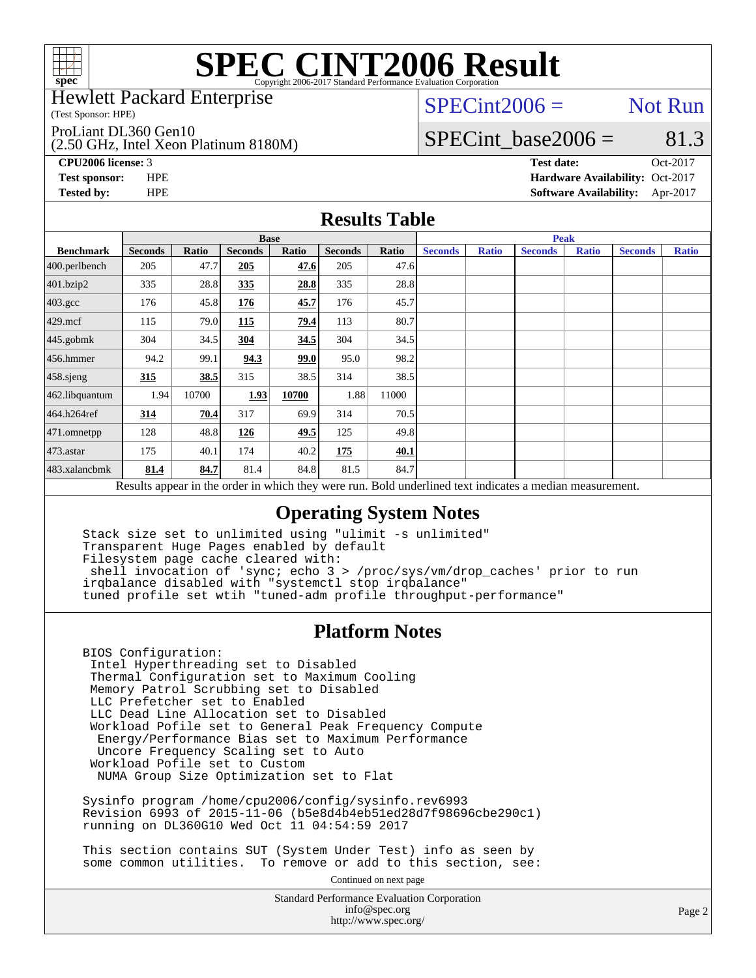

Hewlett Packard Enterprise

(Test Sponsor: HPE)

ProLiant DL360 Gen10

(2.50 GHz, Intel Xeon Platinum 8180M)

 $SPECint2006 =$  Not Run

## SPECint base2006 =  $81.3$

**[CPU2006 license:](http://www.spec.org/auto/cpu2006/Docs/result-fields.html#CPU2006license)** 3 **[Test date:](http://www.spec.org/auto/cpu2006/Docs/result-fields.html#Testdate)** Oct-2017

**[Test sponsor:](http://www.spec.org/auto/cpu2006/Docs/result-fields.html#Testsponsor)** HPE **[Hardware Availability:](http://www.spec.org/auto/cpu2006/Docs/result-fields.html#HardwareAvailability)** Oct-2017 **[Tested by:](http://www.spec.org/auto/cpu2006/Docs/result-fields.html#Testedby)** HPE **[Software Availability:](http://www.spec.org/auto/cpu2006/Docs/result-fields.html#SoftwareAvailability)** Apr-2017

#### **[Results Table](http://www.spec.org/auto/cpu2006/Docs/result-fields.html#ResultsTable)**

|                                                                                                          | <b>Base</b>    |              |                |       |                |       | <b>Peak</b>    |              |                |              |                |              |
|----------------------------------------------------------------------------------------------------------|----------------|--------------|----------------|-------|----------------|-------|----------------|--------------|----------------|--------------|----------------|--------------|
| <b>Benchmark</b>                                                                                         | <b>Seconds</b> | <b>Ratio</b> | <b>Seconds</b> | Ratio | <b>Seconds</b> | Ratio | <b>Seconds</b> | <b>Ratio</b> | <b>Seconds</b> | <b>Ratio</b> | <b>Seconds</b> | <b>Ratio</b> |
| 400.perlbench                                                                                            | 205            | 47.7         | 205            | 47.6  | 205            | 47.6  |                |              |                |              |                |              |
| 401.bzip2                                                                                                | 335            | 28.8         | 335            | 28.8  | 335            | 28.8  |                |              |                |              |                |              |
| $403.\mathrm{gcc}$                                                                                       | 176            | 45.8         | 176            | 45.7  | 176            | 45.7  |                |              |                |              |                |              |
| $429$ .mcf                                                                                               | 115            | 79.0         | 115            | 79.4  | 113            | 80.7  |                |              |                |              |                |              |
| $445$ .gobmk                                                                                             | 304            | 34.5         | 304            | 34.5  | 304            | 34.5  |                |              |                |              |                |              |
| 456.hmmer                                                                                                | 94.2           | 99.1         | 94.3           | 99.0  | 95.0           | 98.2  |                |              |                |              |                |              |
| 458.sjeng                                                                                                | 315            | 38.5         | 315            | 38.5  | 314            | 38.5  |                |              |                |              |                |              |
| 462.libquantum                                                                                           | 1.94           | 10700        | 1.93           | 10700 | 1.88           | 11000 |                |              |                |              |                |              |
| 464.h264ref                                                                                              | 314            | 70.4         | 317            | 69.9  | 314            | 70.5  |                |              |                |              |                |              |
| 471.omnetpp                                                                                              | 128            | 48.8         | 126            | 49.5  | 125            | 49.8  |                |              |                |              |                |              |
| $473$ . astar                                                                                            | 175            | 40.1         | 174            | 40.2  | <u>175</u>     | 40.1  |                |              |                |              |                |              |
| 483.xalancbmk                                                                                            | 81.4           | 84.7         | 81.4           | 84.8  | 81.5           | 84.7  |                |              |                |              |                |              |
| Results appear in the order in which they were run. Bold underlined text indicates a median measurement. |                |              |                |       |                |       |                |              |                |              |                |              |

#### **[Operating System Notes](http://www.spec.org/auto/cpu2006/Docs/result-fields.html#OperatingSystemNotes)**

 Stack size set to unlimited using "ulimit -s unlimited" Transparent Huge Pages enabled by default Filesystem page cache cleared with: shell invocation of 'sync; echo 3 > /proc/sys/vm/drop\_caches' prior to run irqbalance disabled with "systemctl stop irqbalance" tuned profile set wtih "tuned-adm profile throughput-performance"

#### **[Platform Notes](http://www.spec.org/auto/cpu2006/Docs/result-fields.html#PlatformNotes)**

 BIOS Configuration: Intel Hyperthreading set to Disabled Thermal Configuration set to Maximum Cooling Memory Patrol Scrubbing set to Disabled LLC Prefetcher set to Enabled LLC Dead Line Allocation set to Disabled Workload Pofile set to General Peak Frequency Compute Energy/Performance Bias set to Maximum Performance Uncore Frequency Scaling set to Auto Workload Pofile set to Custom NUMA Group Size Optimization set to Flat

 Sysinfo program /home/cpu2006/config/sysinfo.rev6993 Revision 6993 of 2015-11-06 (b5e8d4b4eb51ed28d7f98696cbe290c1) running on DL360G10 Wed Oct 11 04:54:59 2017

 This section contains SUT (System Under Test) info as seen by some common utilities. To remove or add to this section, see:

Continued on next page

Standard Performance Evaluation Corporation [info@spec.org](mailto:info@spec.org) <http://www.spec.org/>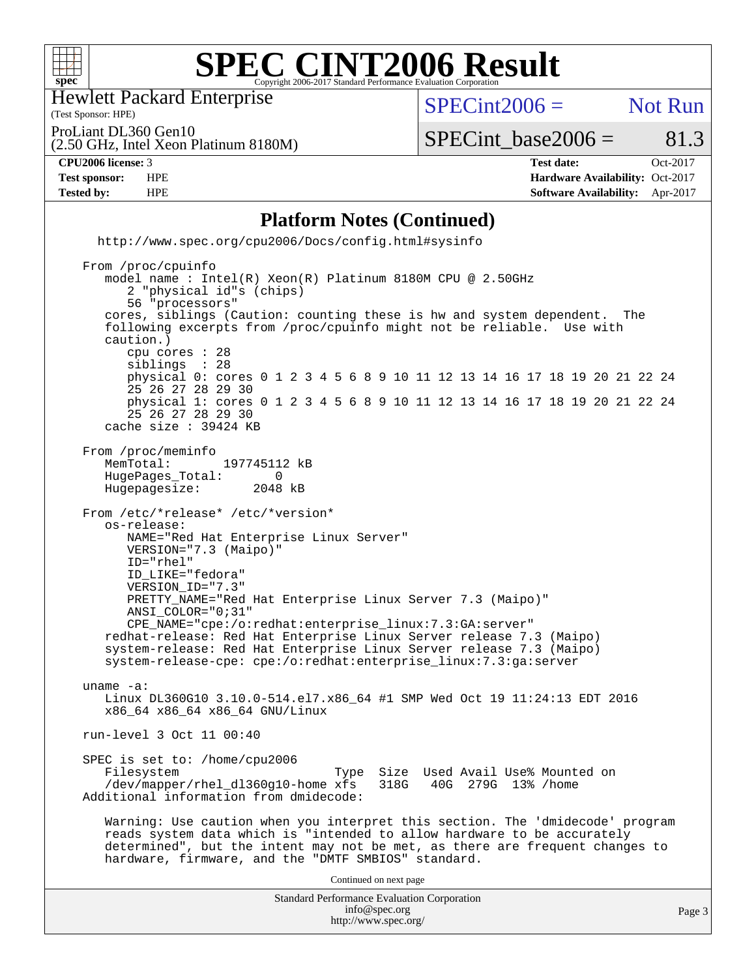

Hewlett Packard Enterprise

(2.50 GHz, Intel Xeon Platinum 8180M)

(Test Sponsor: HPE)

 $SPECint2006 =$  Not Run

ProLiant DL360 Gen10

 $SPECTnt\_base2006 = 81.3$ 

**[CPU2006 license:](http://www.spec.org/auto/cpu2006/Docs/result-fields.html#CPU2006license)** 3 **[Test date:](http://www.spec.org/auto/cpu2006/Docs/result-fields.html#Testdate)** Oct-2017 **[Test sponsor:](http://www.spec.org/auto/cpu2006/Docs/result-fields.html#Testsponsor)** HPE **[Hardware Availability:](http://www.spec.org/auto/cpu2006/Docs/result-fields.html#HardwareAvailability)** Oct-2017 **[Tested by:](http://www.spec.org/auto/cpu2006/Docs/result-fields.html#Testedby)** HPE **[Software Availability:](http://www.spec.org/auto/cpu2006/Docs/result-fields.html#SoftwareAvailability)** Apr-2017

#### **[Platform Notes \(Continued\)](http://www.spec.org/auto/cpu2006/Docs/result-fields.html#PlatformNotes)**

 <http://www.spec.org/cpu2006/Docs/config.html#sysinfo> From /proc/cpuinfo model name : Intel(R) Xeon(R) Platinum 8180M CPU @ 2.50GHz

 2 "physical id"s (chips) 56 "processors" cores, siblings (Caution: counting these is hw and system dependent. The following excerpts from /proc/cpuinfo might not be reliable. Use with caution.) cpu cores : 28 siblings physical 0: cores 0 1 2 3 4 5 6 8 9 10 11 12 13 14 16 17 18 19 20 21 22 24 25 26 27 28 29 30 physical 1: cores 0 1 2 3 4 5 6 8 9 10 11 12 13 14 16 17 18 19 20 21 22 24 25 26 27 28 29 30 cache size : 39424 KB From /proc/meminfo MemTotal: 197745112 kB<br>HugePages Total: 0 HugePages\_Total: 0<br>Hugepagesize: 2048 kB Hugepagesize: From /etc/\*release\* /etc/\*version\* os-release: NAME="Red Hat Enterprise Linux Server" VERSION="7.3 (Maipo)" ID="rhel" ID\_LIKE="fedora" VERSION\_ID="7.3" PRETTY\_NAME="Red Hat Enterprise Linux Server 7.3 (Maipo)" ANSI\_COLOR="0;31" CPE\_NAME="cpe:/o:redhat:enterprise\_linux:7.3:GA:server" redhat-release: Red Hat Enterprise Linux Server release 7.3 (Maipo) system-release: Red Hat Enterprise Linux Server release 7.3 (Maipo) system-release-cpe: cpe:/o:redhat:enterprise\_linux:7.3:ga:server uname -a: Linux DL360G10 3.10.0-514.el7.x86\_64 #1 SMP Wed Oct 19 11:24:13 EDT 2016 x86\_64 x86\_64 x86\_64 GNU/Linux run-level 3 Oct 11 00:40 SPEC is set to: /home/cpu2006<br>Filesystem Type Size Used Avail Use% Mounted on /dev/mapper/rhel\_dl360g10-home xfs 318G 40G 279G 13% /home Additional information from dmidecode: Warning: Use caution when you interpret this section. The 'dmidecode' program reads system data which is "intended to allow hardware to be accurately determined", but the intent may not be met, as there are frequent changes to hardware, firmware, and the "DMTF SMBIOS" standard. Continued on next page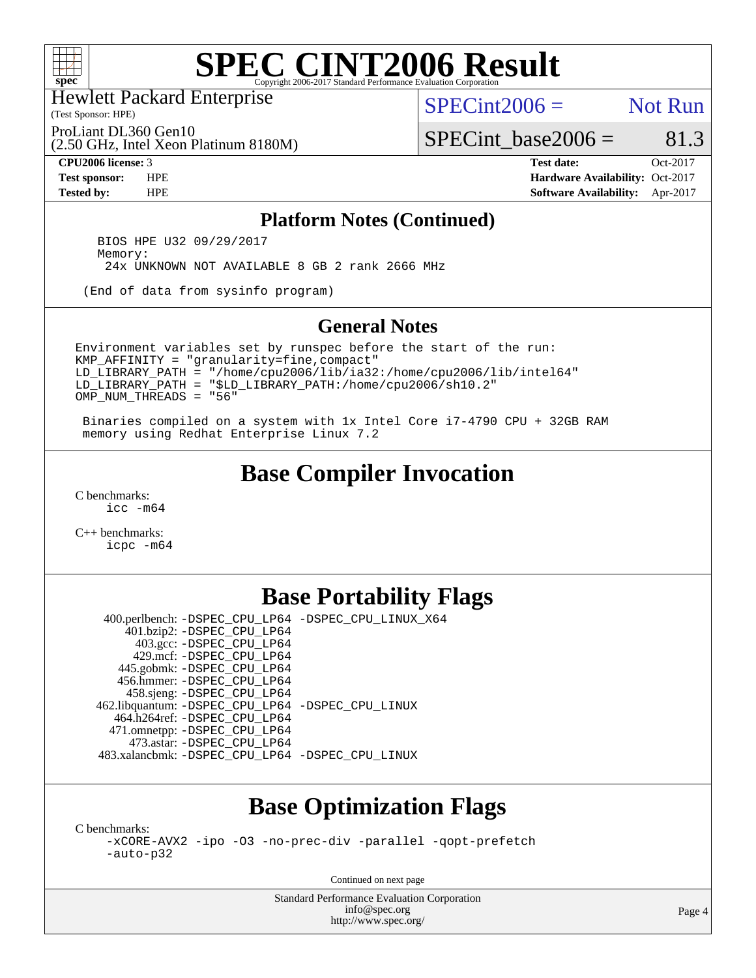

Hewlett Packard Enterprise

(Test Sponsor: HPE)

 $SPECint2006 =$  Not Run

(2.50 GHz, Intel Xeon Platinum 8180M) ProLiant DL360 Gen10

SPECint base2006 =  $81.3$ **[CPU2006 license:](http://www.spec.org/auto/cpu2006/Docs/result-fields.html#CPU2006license)** 3 **[Test date:](http://www.spec.org/auto/cpu2006/Docs/result-fields.html#Testdate)** Oct-2017

**[Test sponsor:](http://www.spec.org/auto/cpu2006/Docs/result-fields.html#Testsponsor)** HPE **[Hardware Availability:](http://www.spec.org/auto/cpu2006/Docs/result-fields.html#HardwareAvailability)** Oct-2017 **[Tested by:](http://www.spec.org/auto/cpu2006/Docs/result-fields.html#Testedby)** HPE **[Software Availability:](http://www.spec.org/auto/cpu2006/Docs/result-fields.html#SoftwareAvailability)** Apr-2017

#### **[Platform Notes \(Continued\)](http://www.spec.org/auto/cpu2006/Docs/result-fields.html#PlatformNotes)**

 BIOS HPE U32 09/29/2017 Memory: 24x UNKNOWN NOT AVAILABLE 8 GB 2 rank 2666 MHz

(End of data from sysinfo program)

#### **[General Notes](http://www.spec.org/auto/cpu2006/Docs/result-fields.html#GeneralNotes)**

Environment variables set by runspec before the start of the run: KMP\_AFFINITY = "granularity=fine,compact" LD\_LIBRARY\_PATH = "/home/cpu2006/lib/ia32:/home/cpu2006/lib/intel64" LD\_LIBRARY\_PATH = "\$LD\_LIBRARY\_PATH:/home/cpu2006/sh10.2" OMP\_NUM\_THREADS = "56"

 Binaries compiled on a system with 1x Intel Core i7-4790 CPU + 32GB RAM memory using Redhat Enterprise Linux 7.2

## **[Base Compiler Invocation](http://www.spec.org/auto/cpu2006/Docs/result-fields.html#BaseCompilerInvocation)**

[C benchmarks](http://www.spec.org/auto/cpu2006/Docs/result-fields.html#Cbenchmarks): [icc -m64](http://www.spec.org/cpu2006/results/res2017q4/cpu2006-20171017-50341.flags.html#user_CCbase_intel_icc_64bit_bda6cc9af1fdbb0edc3795bac97ada53)

[C++ benchmarks:](http://www.spec.org/auto/cpu2006/Docs/result-fields.html#CXXbenchmarks) [icpc -m64](http://www.spec.org/cpu2006/results/res2017q4/cpu2006-20171017-50341.flags.html#user_CXXbase_intel_icpc_64bit_fc66a5337ce925472a5c54ad6a0de310)

## **[Base Portability Flags](http://www.spec.org/auto/cpu2006/Docs/result-fields.html#BasePortabilityFlags)**

 400.perlbench: [-DSPEC\\_CPU\\_LP64](http://www.spec.org/cpu2006/results/res2017q4/cpu2006-20171017-50341.flags.html#b400.perlbench_basePORTABILITY_DSPEC_CPU_LP64) [-DSPEC\\_CPU\\_LINUX\\_X64](http://www.spec.org/cpu2006/results/res2017q4/cpu2006-20171017-50341.flags.html#b400.perlbench_baseCPORTABILITY_DSPEC_CPU_LINUX_X64) 401.bzip2: [-DSPEC\\_CPU\\_LP64](http://www.spec.org/cpu2006/results/res2017q4/cpu2006-20171017-50341.flags.html#suite_basePORTABILITY401_bzip2_DSPEC_CPU_LP64) 403.gcc: [-DSPEC\\_CPU\\_LP64](http://www.spec.org/cpu2006/results/res2017q4/cpu2006-20171017-50341.flags.html#suite_basePORTABILITY403_gcc_DSPEC_CPU_LP64) 429.mcf: [-DSPEC\\_CPU\\_LP64](http://www.spec.org/cpu2006/results/res2017q4/cpu2006-20171017-50341.flags.html#suite_basePORTABILITY429_mcf_DSPEC_CPU_LP64) 445.gobmk: [-DSPEC\\_CPU\\_LP64](http://www.spec.org/cpu2006/results/res2017q4/cpu2006-20171017-50341.flags.html#suite_basePORTABILITY445_gobmk_DSPEC_CPU_LP64) 456.hmmer: [-DSPEC\\_CPU\\_LP64](http://www.spec.org/cpu2006/results/res2017q4/cpu2006-20171017-50341.flags.html#suite_basePORTABILITY456_hmmer_DSPEC_CPU_LP64) 458.sjeng: [-DSPEC\\_CPU\\_LP64](http://www.spec.org/cpu2006/results/res2017q4/cpu2006-20171017-50341.flags.html#suite_basePORTABILITY458_sjeng_DSPEC_CPU_LP64) 462.libquantum: [-DSPEC\\_CPU\\_LP64](http://www.spec.org/cpu2006/results/res2017q4/cpu2006-20171017-50341.flags.html#suite_basePORTABILITY462_libquantum_DSPEC_CPU_LP64) [-DSPEC\\_CPU\\_LINUX](http://www.spec.org/cpu2006/results/res2017q4/cpu2006-20171017-50341.flags.html#b462.libquantum_baseCPORTABILITY_DSPEC_CPU_LINUX) 464.h264ref: [-DSPEC\\_CPU\\_LP64](http://www.spec.org/cpu2006/results/res2017q4/cpu2006-20171017-50341.flags.html#suite_basePORTABILITY464_h264ref_DSPEC_CPU_LP64) 471.omnetpp: [-DSPEC\\_CPU\\_LP64](http://www.spec.org/cpu2006/results/res2017q4/cpu2006-20171017-50341.flags.html#suite_basePORTABILITY471_omnetpp_DSPEC_CPU_LP64) 473.astar: [-DSPEC\\_CPU\\_LP64](http://www.spec.org/cpu2006/results/res2017q4/cpu2006-20171017-50341.flags.html#suite_basePORTABILITY473_astar_DSPEC_CPU_LP64) 483.xalancbmk: [-DSPEC\\_CPU\\_LP64](http://www.spec.org/cpu2006/results/res2017q4/cpu2006-20171017-50341.flags.html#suite_basePORTABILITY483_xalancbmk_DSPEC_CPU_LP64) [-DSPEC\\_CPU\\_LINUX](http://www.spec.org/cpu2006/results/res2017q4/cpu2006-20171017-50341.flags.html#b483.xalancbmk_baseCXXPORTABILITY_DSPEC_CPU_LINUX)

## **[Base Optimization Flags](http://www.spec.org/auto/cpu2006/Docs/result-fields.html#BaseOptimizationFlags)**

[C benchmarks](http://www.spec.org/auto/cpu2006/Docs/result-fields.html#Cbenchmarks):

[-xCORE-AVX2](http://www.spec.org/cpu2006/results/res2017q4/cpu2006-20171017-50341.flags.html#user_CCbase_f-xCORE-AVX2) [-ipo](http://www.spec.org/cpu2006/results/res2017q4/cpu2006-20171017-50341.flags.html#user_CCbase_f-ipo) [-O3](http://www.spec.org/cpu2006/results/res2017q4/cpu2006-20171017-50341.flags.html#user_CCbase_f-O3) [-no-prec-div](http://www.spec.org/cpu2006/results/res2017q4/cpu2006-20171017-50341.flags.html#user_CCbase_f-no-prec-div) [-parallel](http://www.spec.org/cpu2006/results/res2017q4/cpu2006-20171017-50341.flags.html#user_CCbase_f-parallel) [-qopt-prefetch](http://www.spec.org/cpu2006/results/res2017q4/cpu2006-20171017-50341.flags.html#user_CCbase_f-qopt-prefetch) [-auto-p32](http://www.spec.org/cpu2006/results/res2017q4/cpu2006-20171017-50341.flags.html#user_CCbase_f-auto-p32)

Continued on next page

Standard Performance Evaluation Corporation [info@spec.org](mailto:info@spec.org) <http://www.spec.org/>

Page 4